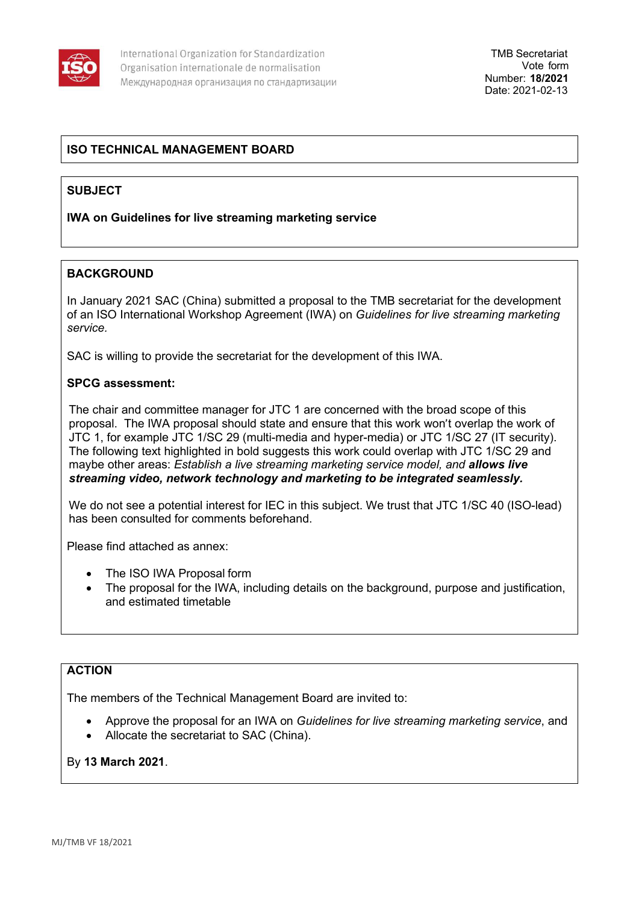

## **ISO TECHNICAL MANAGEMENT BOARD**

## **SUBJECT**

### **IWA on Guidelines for live streaming marketing service**

### **BACKGROUND**

In January 2021 SAC (China) submitted a proposal to the TMB secretariat for the development of an ISO International Workshop Agreement (IWA) on *Guidelines for live streaming marketing service.*

SAC is willing to provide the secretariat for the development of this IWA.

### **SPCG assessment:**

The chair and committee manager for JTC 1 are concerned with the broad scope of this proposal. The IWA proposal should state and ensure that this work won't overlap the work of JTC 1, for example JTC 1/SC 29 (multi-media and hyper-media) or JTC 1/SC 27 (IT security). The following text highlighted in bold suggests this work could overlap with JTC 1/SC 29 and maybe other areas: *Establish a live streaming marketing service model, and allows live streaming video, network technology and marketing to be integrated seamlessly.*

We do not see a potential interest for IEC in this subject. We trust that JTC 1/SC 40 (ISO-lead) has been consulted for comments beforehand.

Please find attached as annex:

- The ISO IWA Proposal form
- The proposal for the IWA, including details on the background, purpose and justification, and estimated timetable

## **ACTION**

The members of the Technical Management Board are invited to:

- Approve the proposal for an IWA on *Guidelines for live streaming marketing service*, and
- Allocate the secretariat to SAC (China).

### By **13 March 2021**.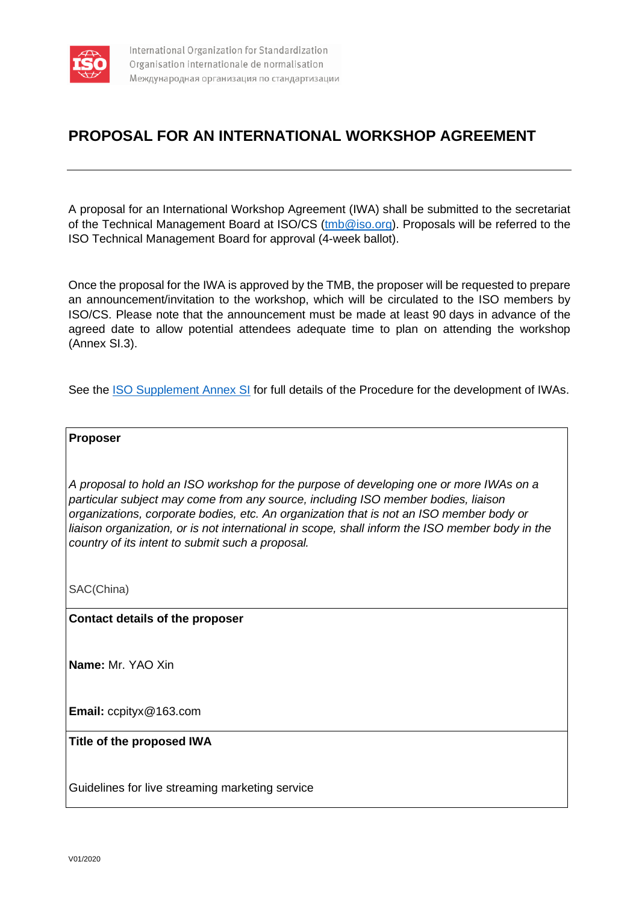

# **PROPOSAL FOR AN INTERNATIONAL WORKSHOP AGREEMENT**

A proposal for an International Workshop Agreement (IWA) shall be submitted to the secretariat of the Technical Management Board at ISO/CS [\(tmb@iso.org\)](mailto:tmb@iso.org). Proposals will be referred to the ISO Technical Management Board for approval (4-week ballot).

Once the proposal for the IWA is approved by the TMB, the proposer will be requested to prepare an announcement/invitation to the workshop, which will be circulated to the ISO members by ISO/CS. Please note that the announcement must be made at least 90 days in advance of the agreed date to allow potential attendees adequate time to plan on attending the workshop (Annex SI.3).

See the [ISO Supplement Annex SI](https://www.iso.org/sites/directives/current/consolidated/index.xhtml#_idTextAnchor514) for full details of the Procedure for the development of IWAs.

### **Proposer**

*A proposal to hold an ISO workshop for the purpose of developing one or more IWAs on a particular subject may come from any source, including ISO member bodies, liaison organizations, corporate bodies, etc. An organization that is not an ISO member body or*  liaison organization, or is not international in scope, shall inform the ISO member body in the *country of its intent to submit such a proposal.*

SAC(China)

**Contact details of the proposer**

**Name:** Mr. YAO Xin

**Email:** ccpityx@163.com

### **Title of the proposed IWA**

Guidelines for live streaming marketing service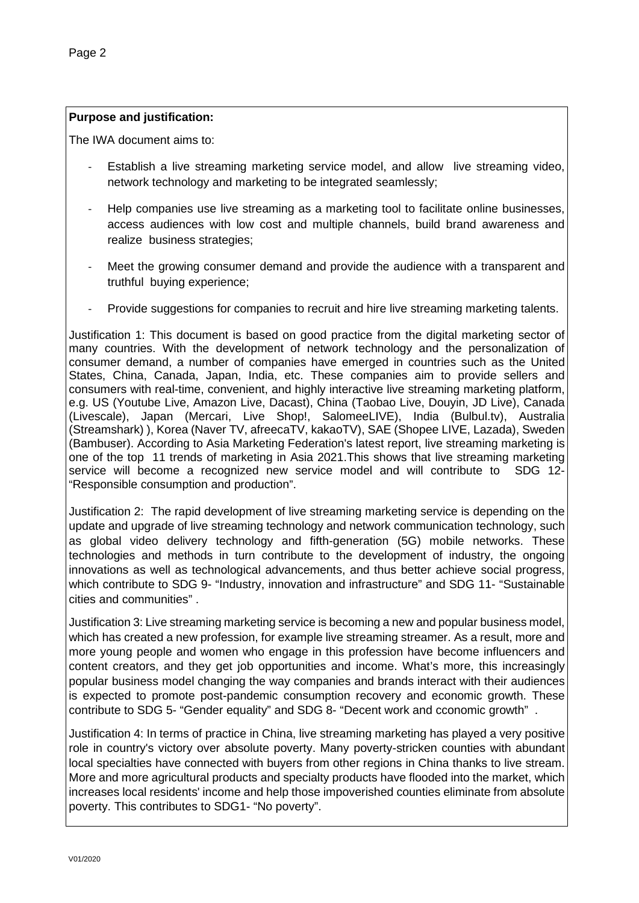### **Purpose and justification:**

The IWA document aims to:

- Establish a live streaming marketing service model, and allow live streaming video, network technology and marketing to be integrated seamlessly;
- Help companies use live streaming as a marketing tool to facilitate online businesses, access audiences with low cost and multiple channels, build brand awareness and realize business strategies;
- Meet the growing consumer demand and provide the audience with a transparent and truthful buying experience;
- Provide suggestions for companies to recruit and hire live streaming marketing talents.

Justification 1: This document is based on good practice from the digital marketing sector of many countries. With the development of network technology and the personalization of consumer demand, a number of companies have emerged in countries such as the United States, China, Canada, Japan, India, etc. These companies aim to provide sellers and consumers with real-time, convenient, and highly interactive live streaming marketing platform, e.g. US (Youtube Live, Amazon Live, Dacast), China (Taobao Live, Douyin, JD Live), Canada (Livescale), Japan (Mercari, Live Shop!, SalomeeLIVE), India (Bulbul.tv), Australia (Streamshark) ), Korea (Naver TV, afreecaTV, kakaoTV), SAE (Shopee LIVE, Lazada), Sweden (Bambuser). According to Asia Marketing Federation's latest report, live streaming marketing is one of the top 11 trends of marketing in Asia 2021.This shows that live streaming marketing service will become a recognized new service model and will contribute to SDG 12-"Responsible consumption and production".

Justification 2: The rapid development of live streaming marketing service is depending on the update and upgrade of live streaming technology and network communication technology, such as global video delivery technology and fifth-generation (5G) mobile networks. These technologies and methods in turn contribute to the development of industry, the ongoing innovations as well as technological advancements, and thus better achieve social progress, which contribute to SDG 9- "Industry, innovation and infrastructure" and SDG 11- "Sustainable cities and communities" .

Justification 3: Live streaming marketing service is becoming a new and popular business model, which has created a new profession, for example live streaming streamer. As a result, more and more young people and women who engage in this profession have become influencers and content creators, and they get job opportunities and income. What's more, this increasingly popular business model changing the way companies and brands interact with their audiences is expected to promote post-pandemic consumption recovery and economic growth. These contribute to SDG 5- "Gender equality" and SDG 8- "Decent work and cconomic growth" .

Justification 4: In terms of practice in China, live streaming marketing has played a very positive role in country's victory over absolute poverty. Many poverty-stricken counties with abundant local specialties have connected with buyers from other regions in China thanks to live stream. More and more agricultural products and specialty products have flooded into the market, which increases local residents' income and help those impoverished counties eliminate from absolute poverty. This contributes to SDG1- "No poverty".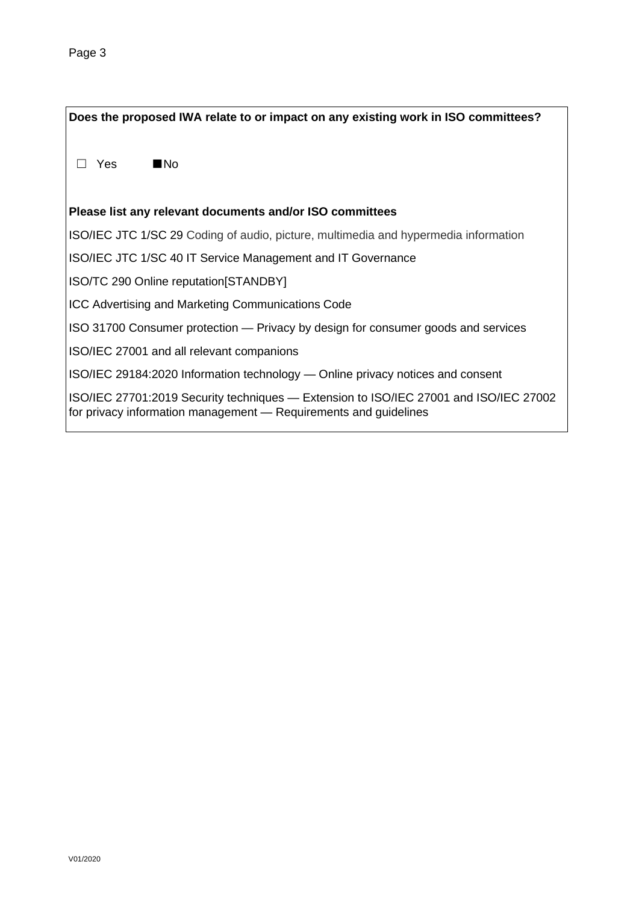**Does the proposed IWA relate to or impact on any existing work in ISO committees?** ☐ Yes ■No **Please list any relevant documents and/or ISO committees** ISO/IEC JTC 1/SC 29 Coding of audio, picture, multimedia and hypermedia information ISO/IEC JTC 1/SC 40 IT Service Management and IT Governance ISO/TC 290 Online reputation[STANDBY] ICC Advertising and Marketing Communications Code ISO 31700 Consumer protection — Privacy by design for consumer goods and services ISO/IEC 27001 and all relevant companions ISO/IEC 29184:2020 Information technology — Online privacy notices and consent ISO/IEC 27701:2019 Security techniques — Extension to ISO/IEC 27001 and ISO/IEC 27002 for privacy information management — Requirements and guidelines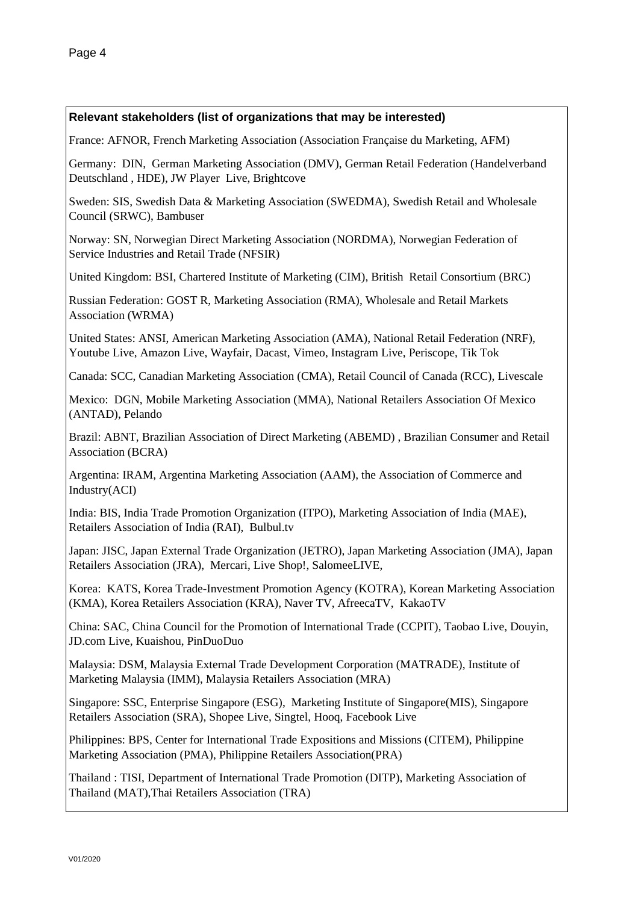### **Relevant stakeholders (list of organizations that may be interested)**

France: AFNOR, French Marketing Association (Association Française du Marketing, AFM)

Germany: DIN, German Marketing Association (DMV), German Retail Federation (Handelverband Deutschland , HDE), JW Player Live, Brightcove

Sweden: SIS, Swedish Data & Marketing Association (SWEDMA), Swedish Retail and Wholesale Council (SRWC), Bambuser

Norway: SN, Norwegian Direct Marketing Association (NORDMA), Norwegian Federation of Service Industries and Retail Trade (NFSIR)

United Kingdom: BSI, Chartered Institute of Marketing (CIM), British Retail Consortium (BRC)

Russian Federation: GOST R, Marketing Association (RMA), Wholesale and Retail Markets Association (WRMA)

United States: ANSI, American Marketing Association (AMA), National Retail Federation (NRF), Youtube Live, Amazon Live, Wayfair, Dacast, Vimeo, Instagram Live, Periscope, Tik Tok

Canada: SCC, Canadian Marketing Association (CMA), Retail Council of Canada (RCC), Livescale

Mexico: DGN, Mobile Marketing Association (MMA), National Retailers Association Of Mexico (ANTAD), Pelando

Brazil: ABNT, Brazilian Association of Direct Marketing (ABEMD) , Brazilian Consumer and Retail Association (BCRA)

Argentina: IRAM, Argentina Marketing Association (AAM), the Association of Commerce and Industry(ACI)

India: BIS, India Trade Promotion Organization (ITPO), Marketing Association of India (MAE), Retailers Association of India (RAI), Bulbul.tv

Japan: JISC, Japan External Trade Organization (JETRO), Japan Marketing Association (JMA), Japan Retailers Association (JRA), Mercari, Live Shop!, SalomeeLIVE,

Korea: KATS, Korea Trade-Investment Promotion Agency (KOTRA), Korean Marketing Association (KMA), Korea Retailers Association (KRA), Naver TV, AfreecaTV, KakaoTV

China: SAC, China Council for the Promotion of International Trade (CCPIT), Taobao Live, Douyin, JD.com Live, Kuaishou, PinDuoDuo

Malaysia: DSM, Malaysia External Trade Development Corporation (MATRADE), Institute of Marketing Malaysia (IMM), Malaysia Retailers Association (MRA)

Singapore: SSC, Enterprise Singapore (ESG), Marketing Institute of Singapore(MIS), Singapore Retailers Association (SRA), Shopee Live, Singtel, Hooq, Facebook Live

Philippines: BPS, Center for International Trade Expositions and Missions (CITEM), Philippine Marketing Association (PMA), Philippine Retailers Association(PRA)

Thailand : TISI, Department of International Trade Promotion (DITP), Marketing Association of Thailand (MAT),Thai Retailers Association (TRA)